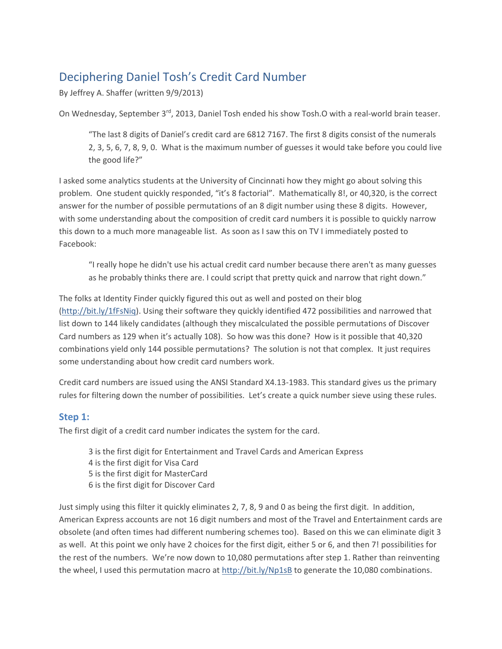# Deciphering Daniel Tosh's Credit Card Number

By Jeffrey A. Shaffer (written 9/9/2013)

On Wednesday, September 3<sup>rd</sup>, 2013, Daniel Tosh ended his show Tosh.O with a real-world brain teaser.

"The last 8 digits of Daniel's credit card are 6812 7167. The first 8 digits consist of the numerals 2, 3, 5, 6, 7, 8, 9, 0. What is the maximum number of guesses it would take before you could live the good life?"

I asked some analytics students at the University of Cincinnati how they might go about solving this problem. One student quickly responded, "it's 8 factorial". Mathematically 8!, or 40,320, is the correct answer for the number of possible permutations of an 8 digit number using these 8 digits. However, with some understanding about the composition of credit card numbers it is possible to quickly narrow this down to a much more manageable list. As soon as I saw this on TV I immediately posted to Facebook:

"I really hope he didn't use his actual credit card number because there aren't as many guesses as he probably thinks there are. I could script that pretty quick and narrow that right down."

The folks at Identity Finder quickly figured this out as well and posted on their blog [\(http://bit.ly/1fFsNiq\)](http://bit.ly/1fFsNiq). Using their software they quickly identified 472 possibilities and narrowed that list down to 144 likely candidates (although they miscalculated the possible permutations of Discover Card numbers as 129 when it's actually 108). So how was this done? How is it possible that 40,320 combinations yield only 144 possible permutations? The solution is not that complex. It just requires some understanding about how credit card numbers work.

Credit card numbers are issued using the ANSI Standard X4.13-1983. This standard gives us the primary rules for filtering down the number of possibilities. Let's create a quick number sieve using these rules.

### **Step 1:**

The first digit of a credit card number indicates the system for the card.

- 3 is the first digit for Entertainment and Travel Cards and American Express
- 4 is the first digit for Visa Card
- 5 is the first digit for MasterCard
- 6 is the first digit for Discover Card

Just simply using this filter it quickly eliminates 2, 7, 8, 9 and 0 as being the first digit. In addition, American Express accounts are not 16 digit numbers and most of the Travel and Entertainment cards are obsolete (and often times had different numbering schemes too). Based on this we can eliminate digit 3 as well. At this point we only have 2 choices for the first digit, either 5 or 6, and then 7! possibilities for the rest of the numbers. We're now down to 10,080 permutations after step 1. Rather than reinventing the wheel, I used this permutation macro at<http://bit.ly/Np1sB> to generate the 10,080 combinations.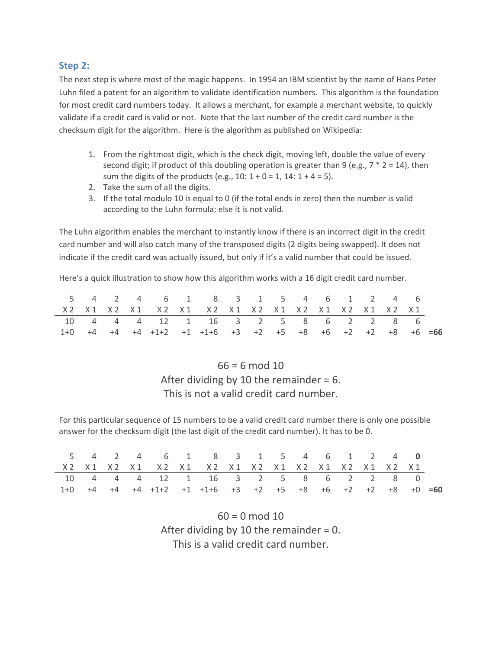#### **Step 2:**

The next step is where most of the magic happens. In 1954 an IBM scientist by the name of Hans Peter Luhn filed a patent for an algorithm to validate identification numbers. This algorithm is the foundation for most credit card numbers today. It allows a merchant, for example a merchant website, to quickly validate if a credit card is valid or not. Note that the last number of the credit card number is the checksum digit for the algorithm. Here is the algorithm as published on Wikipedia:

- 1. From the rightmost digit, which is the check digit, moving left, double the value of every second digit; if product of this doubling operation is greater than 9 (e.g.,  $7 * 2 = 14$ ), then sum the digits of the products (e.g.,  $10: 1 + 0 = 1$ ,  $14: 1 + 4 = 5$ ).
- 2. Take the sum of all the digits.
- 3. If the total modulo 10 is equal to 0 (if the total ends in zero) then the number is valid according to the Luhn formula; else it is not valid.

The Luhn algorithm enables the merchant to instantly know if there is an incorrect digit in the credit card number and will also catch many of the transposed digits (2 digits being swapped). It does not indicate if the credit card was actually issued, but only if it's a valid number that could be issued.

Here's a quick illustration to show how this algorithm works with a 16 digit credit card number.

|  |  |  | 5 4 2 4 6 1 8 3 1 5 4 6 1 2 4 6                            |  |  |  |  |  |
|--|--|--|------------------------------------------------------------|--|--|--|--|--|
|  |  |  | X2 X1 X2 X1 X2 X1 X2 X1 X2 X1 X2 X1 X2 X1 X2 X1            |  |  |  |  |  |
|  |  |  | 10  4  4  4  12  1  16  3  2  5  8  6  2  2  8  6          |  |  |  |  |  |
|  |  |  | $1+0$ +4 +4 +4 +1+2 +1 +1+6 +3 +2 +5 +8 +6 +2 +2 +8 +6 =66 |  |  |  |  |  |

## $66 = 6 \mod 10$ After dividing by 10 the remainder  $= 6$ . This is not a valid credit card number.

For this particular sequence of 15 numbers to be a valid credit card number there is only one possible answer for the checksum digit (the last digit of the credit card number). It has to be 0.

|  |  |  | 5 4 2 4 6 1 8 3 1 5 4 6 1 2 4 0                                                            |  |  |  |  |  |
|--|--|--|--------------------------------------------------------------------------------------------|--|--|--|--|--|
|  |  |  | X2 X1 X2 X1 X2 X1 X2 X1 X2 X1 X2 X1 X2 X1 X2 X1                                            |  |  |  |  |  |
|  |  |  | 10 4 4 4 12 1 16 3 2 5 8 6 2 2 8 0                                                         |  |  |  |  |  |
|  |  |  | $+4$ $+4$ $+4$ $+1$ $+2$ $+1$ $+1$ $+6$ $+3$ $+2$ $+5$ $+8$ $+6$ $+2$ $+2$ $+8$ $+0$ $=60$ |  |  |  |  |  |

 $60 = 0$  mod 10 After dividing by 10 the remainder  $= 0$ . This is a valid credit card number.